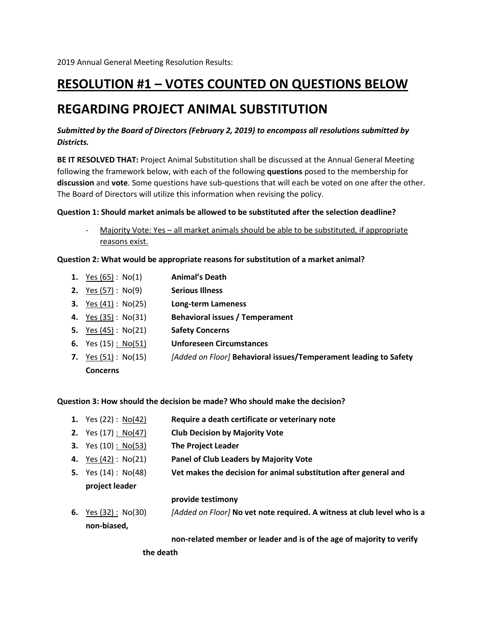# **RESOLUTION #1 – VOTES COUNTED ON QUESTIONS BELOW**

## **REGARDING PROJECT ANIMAL SUBSTITUTION**

### *Submitted by the Board of Directors (February 2, 2019) to encompass all resolutions submitted by Districts.*

**BE IT RESOLVED THAT:** Project Animal Substitution shall be discussed at the Annual General Meeting following the framework below, with each of the following **questions** posed to the membership for **discussion** and **vote**. Some questions have sub-questions that will each be voted on one after the other. The Board of Directors will utilize this information when revising the policy.

### **Question 1: Should market animals be allowed to be substituted after the selection deadline?**

- Majority Vote: Yes – all market animals should be able to be substituted, if appropriate reasons exist.

### **Question 2: What would be appropriate reasons for substitution of a market animal?**

| <b>1.</b> Yes $(65)$ : No $(1)$  | <b>Animal's Death</b>                                            |
|----------------------------------|------------------------------------------------------------------|
| <b>2.</b> Yes (57): No(9)        | <b>Serious Illness</b>                                           |
| <b>3.</b> Yes $(41)$ : No $(25)$ | <b>Long-term Lameness</b>                                        |
| <b>4.</b> Yes (35): No(31)       | <b>Behavioral issues / Temperament</b>                           |
| <b>5.</b> Yes (45): $No(21)$     | <b>Safety Concerns</b>                                           |
| <b>6.</b> Yes $(15)$ : No $(51)$ | <b>Unforeseen Circumstances</b>                                  |
| 7. Yes $(51)$ : No $(15)$        | [Added on Floor] Behavioral issues/Temperament leading to Safety |
| <b>Concerns</b>                  |                                                                  |
|                                  |                                                                  |

**Question 3: How should the decision be made? Who should make the decision?**

- **1.** Yes (22) : No(42) **Require a death certificate or veterinary note**
- **2.** Yes (17) : No(47) **Club Decision by Majority Vote**
- **3.** Yes (10) : No(53) **The Project Leader**
- **4.** Yes (42) : No(21) **Panel of Club Leaders by Majority Vote**
- **5.** Yes (14) : No(48) **Vet makes the decision for animal substitution after general and** 
	- **project leader**

### **provide testimony**

**6.** Yes (32) : No(30) *[Added on Floor]* **No vet note required. A witness at club level who is a non-biased,**

**non-related member or leader and is of the age of majority to verify** 

**the death**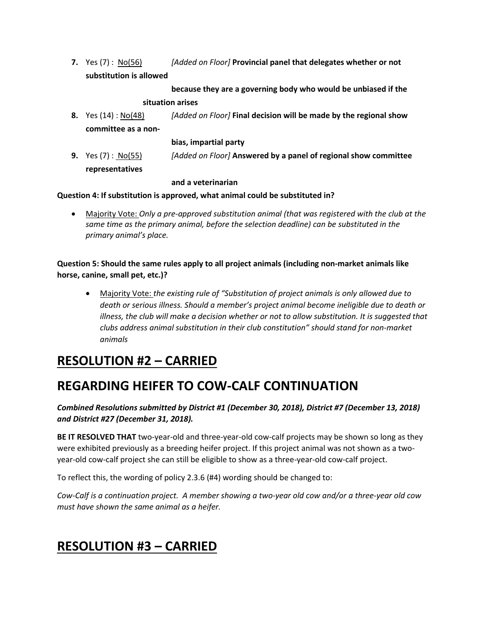**7.** Yes (7) : No(56) *[Added on Floor]* **Provincial panel that delegates whether or not substitution is allowed** 

**because they are a governing body who would be unbiased if the** 

#### **situation arises**

**8.** Yes (14) : No(48) *[Added on Floor]* **Final decision will be made by the regional show committee as a non-**

#### **bias, impartial party**

**9.** Yes (7) : No(55) *[Added on Floor]* **Answered by a panel of regional show committee representatives** 

#### **and a veterinarian**

### **Question 4: If substitution is approved, what animal could be substituted in?**

• Majority Vote: *Only a pre-approved substitution animal (that was registered with the club at the same time as the primary animal, before the selection deadline) can be substituted in the primary animal's place.* 

**Question 5: Should the same rules apply to all project animals (including non-market animals like horse, canine, small pet, etc.)?**

• Majority Vote: *the existing rule of "Substitution of project animals is only allowed due to death or serious illness. Should a member's project animal become ineligible due to death or illness, the club will make a decision whether or not to allow substitution. It is suggested that clubs address animal substitution in their club constitution" should stand for non-market animals*

## **RESOLUTION #2 – CARRIED**

## **REGARDING HEIFER TO COW-CALF CONTINUATION**

### *Combined Resolutions submitted by District #1 (December 30, 2018), District #7 (December 13, 2018) and District #27 (December 31, 2018).*

**BE IT RESOLVED THAT** two-year-old and three-year-old cow-calf projects may be shown so long as they were exhibited previously as a breeding heifer project. If this project animal was not shown as a twoyear-old cow-calf project she can still be eligible to show as a three-year-old cow-calf project.

To reflect this, the wording of policy 2.3.6 (#4) wording should be changed to:

*Cow-Calf is a continuation project. A member showing a two-year old cow and/or a three-year old cow must have shown the same animal as a heifer.*

# **RESOLUTION #3 – CARRIED**